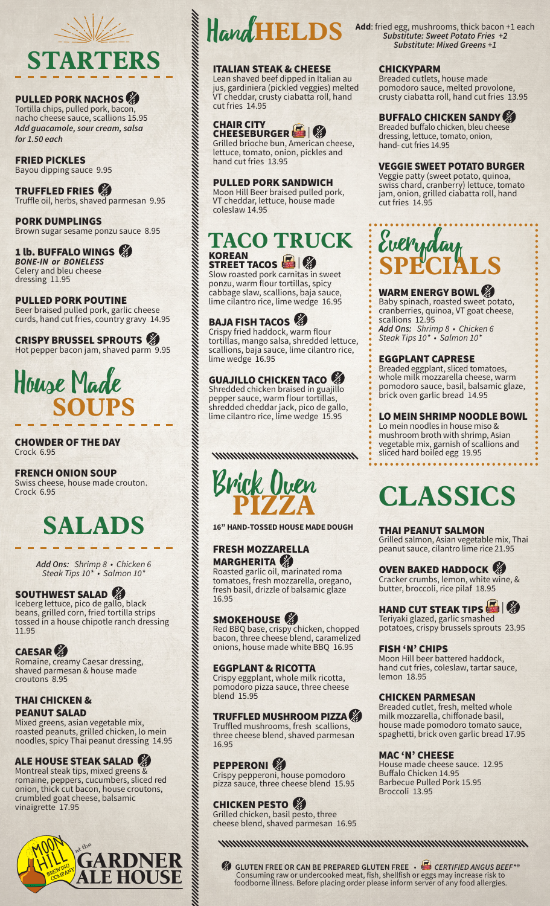

#### PULLED PORK NACHOS

Tortilla chips, pulled pork, bacon, nacho cheese sauce, scallions 15.95 *Add guacamole, sour cream, salsa for 1.50 each*

FRIED PICKLES Bayou dipping sauce 9.95

TRUFFLED FRIES Truffle oil, herbs, shaved parmesan 9.95

PORK DUMPLINGS Brown sugar sesame ponzu sauce 8.95

#### 1 lb. BUFFALO WINGS

*BONE-IN or BONELESS* Celery and bleu cheese dressing 11.95

PULLED PORK POUTINE Beer braised pulled pork, garlic cheese curds, hand cut fries, country gravy 14.95

CRISPY BRUSSEL SPROUTS **the SPROUTS** Hot pepper bacon jam, shaved parm 9.95



#### CHOWDER OF THE DAY Crock 6.95

#### FRENCH ONION SOUP

Swiss cheese, house made crouton. Crock 6.95

## **SALADS**

*Add Ons: Shrimp 8 • Chicken 6 Steak Tips 10\* • Salmon 10\**

#### SOUTHWEST SALAD

Iceberg lettuce, pico de gallo, black beans, grilled corn, fried tortilla strips tossed in a house chipotle ranch dressing 11.95

#### **CAESAR**

Romaine, creamy Caesar dressing, shaved parmesan & house made croutons 8.95

### THAI CHICKEN &

PEANUT SALAD Mixed greens, asian vegetable mix, roasted peanuts, grilled chicken, lo mein noodles, spicy Thai peanut dressing 14.95

## ALE HOUSE STEAK SALAD Montreal steak tips, mixed greens &

romaine, peppers, cucumbers, sliced red onion, thick cut bacon, house croutons, crumbled goat cheese, balsamic vinaigrette 17.95





Lean shaved beef dipped in Italian au jus, gardiniera (pickled veggies) melted VT cheddar, crusty ciabatta roll, hand cut fries 14.95

### CHAIR CITY<br>CHEESEBURGER

Grilled brioche bun, American cheese, lettuce, tomato, onion, pickles and hand cut fries 13.95

#### PULLED PORK SANDWICH

Moon Hill Beer braised pulled pork, VT cheddar, lettuce, house made coleslaw 14.95

## **TACO TRUCK**

### KOREAN<br>STREET TACOS

Slow roasted pork carnitas in sweet ponzu, warm flour tortillas, spicy cabbage slaw, scallions, baja sauce, lime cilantro rice, lime wedge 16.95

### BAJA FISH TACOS

Crispy fried haddock, warm flour tortillas, mango salsa, shredded lettuce, scallions, baja sauce, lime cilantro rice, lime wedge 16.95

## **GUAJILLO CHICKEN TACO**

pepper sauce, warm flour tortillas, shredded cheddar jack, pico de gallo, lime cilantro rice, lime wedge 15.95

#### www.www.www.www.



**16" HAND-TOSSED HOUSE MADE DOUGH**

#### FRESH MOZZARELLA MARGHERITA

Roasted garlic oil, marinated roma tomatoes, fresh mozzarella, oregano, fresh basil, drizzle of balsamic glaze 16.95

#### SMOKEHOUSE<sup></sup>

Red BBQ base, crispy chicken, chopped bacon, three cheese blend, caramelized onions, house made white BBQ 16.95

#### EGGPLANT & RICOTTA

Crispy eggplant, whole milk ricotta, pomodoro pizza sauce, three cheese blend 15.95

#### TRUFFLED MUSHROOM PIZZA

Truffled mushrooms, fresh scallions, three cheese blend, shaved parmesan 16.95

### PEPPERONI<sup>®</sup>

Crispy pepperoni, house pomodoro pizza sauce, three cheese blend 15.95

#### CHICKEN PESTO

Grilled chicken, basil pesto, three cheese blend, shaved parmesan 16.95

 **GLUTEN FREE OR CAN BE PREPARED GLUTEN FREE** • *CERTIFIED ANGUS BEEF\*®*  Consuming raw or undercooked meat, fish, shellfish or eggs may increase risk to foodborne illness. Before placing order please inform server of any food allergies.

*Substitute: Sweet Potato Fries +2 Substitute: Mixed Greens +1*

#### CHICKYPARM

Breaded cutlets, house made pomodoro sauce, melted provolone, crusty ciabatta roll, hand cut fries 13.95

#### BUFFALO CHICKEN SANDY

Breaded buffalo chicken, bleu cheese dressing, lettuce, tomato, onion, hand- cut fries 14.95

#### VEGGIE SWEET POTATO BURGER

Veggie patty (sweet potato, quinoa, swiss chard, cranberry) lettuce, tomato jam, onion, grilled ciabatta roll, hand cut fries 14.95

## Everyday **SPECIALS**

#### WARM ENERGY BOWL

Baby spinach, roasted sweet potato, cranberries, quinoa, VT goat cheese, scallions 12.95 *Add Ons: Shrimp 8 • Chicken 6 Steak Tips 10\* • Salmon 10\**

#### EGGPLANT CAPRESE

Breaded eggplant, sliced tomatoes, whole milk mozzarella cheese, warm pomodoro sauce, basil, balsamic glaze, brick oven garlic bread 14.95

#### LO MEIN SHRIMP NOODLE BOWL

Lo mein noodles in house miso & mushroom broth with shrimp, Asian vegetable mix, garnish of scallions and sliced hard boiled egg 19.95

## **CLASSICS**

#### THAI PEANUT SALMON

Grilled salmon, Asian vegetable mix, Thai peanut sauce, cilantro lime rice 21.95

#### OVEN BAKED HADDOCK

Cracker crumbs, lemon, white wine, & butter, broccoli, rice pilaf 18.95

### **HAND CUT STEAK TIPS**  $\blacksquare$

Teriyaki glazed, garlic smashed potatoes, crispy brussels sprouts 23.95

#### FISH 'N' CHIPS

Moon Hill beer battered haddock, hand cut fries, coleslaw, tartar sauce, lemon 18.95

#### CHICKEN PARMESAN

Breaded cutlet, fresh, melted whole milk mozzarella, chiffonade basil, house made pomodoro tomato sauce, spaghetti, brick oven garlic bread 17.95

#### MAC 'N' CHEESE

House made cheese sauce. 12.95 Buffalo Chicken 14.95 Barbecue Pulled Pork 15.95 Broccoli 13.95